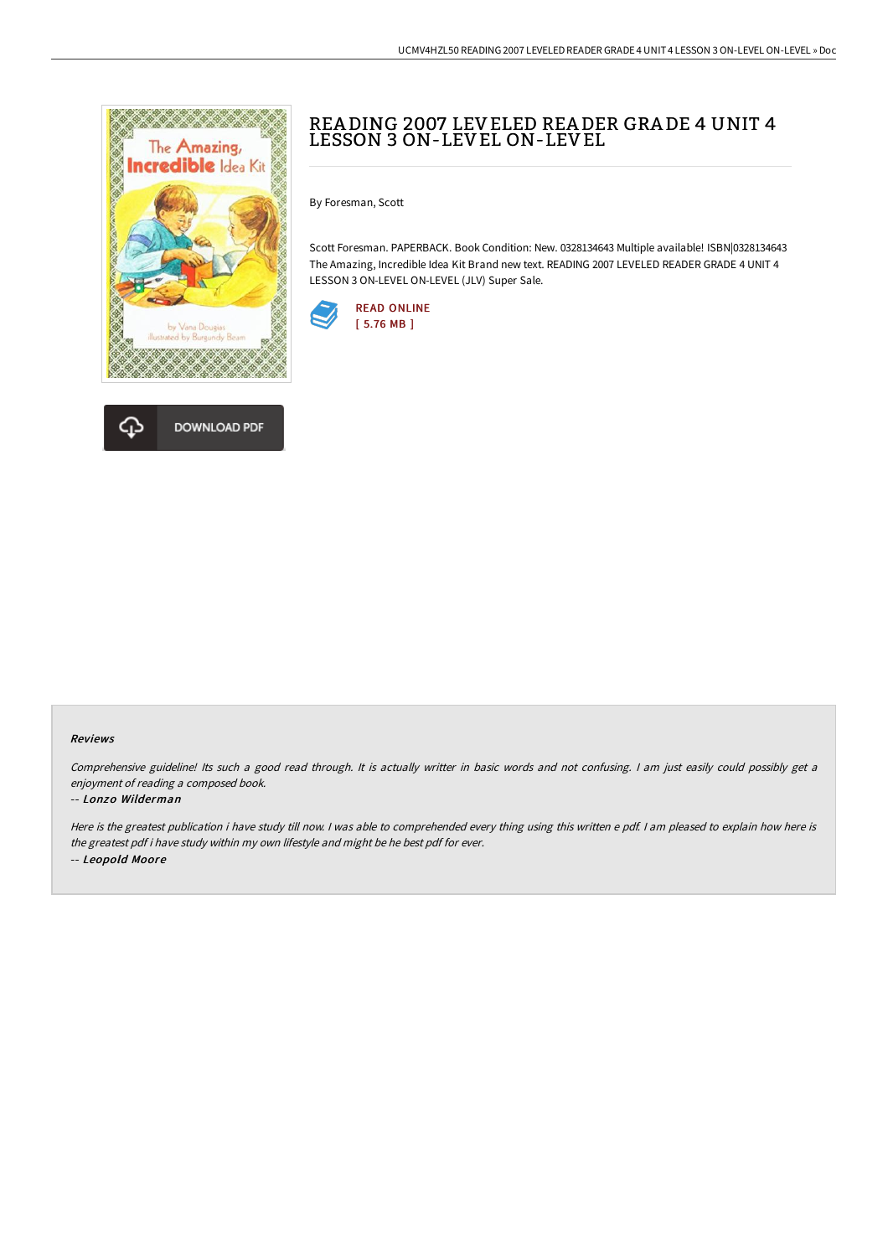



## REA DING 2007 LEVELED REA DER GRA DE 4 UNIT 4 LESSON 3 ON-LEVEL ON-LEVEL

By Foresman, Scott

Scott Foresman. PAPERBACK. Book Condition: New. 0328134643 Multiple available! ISBN|0328134643 The Amazing, Incredible Idea Kit Brand new text. READING 2007 LEVELED READER GRADE 4 UNIT 4 LESSON 3 ON-LEVEL ON-LEVEL (JLV) Super Sale.



## Reviews

Comprehensive guideline! Its such <sup>a</sup> good read through. It is actually writter in basic words and not confusing. <sup>I</sup> am just easily could possibly get <sup>a</sup> enjoyment of reading <sup>a</sup> composed book.

## -- Lonzo Wilderman

Here is the greatest publication i have study till now. <sup>I</sup> was able to comprehended every thing using this written <sup>e</sup> pdf. <sup>I</sup> am pleased to explain how here is the greatest pdf i have study within my own lifestyle and might be he best pdf for ever. -- Leopold Moore